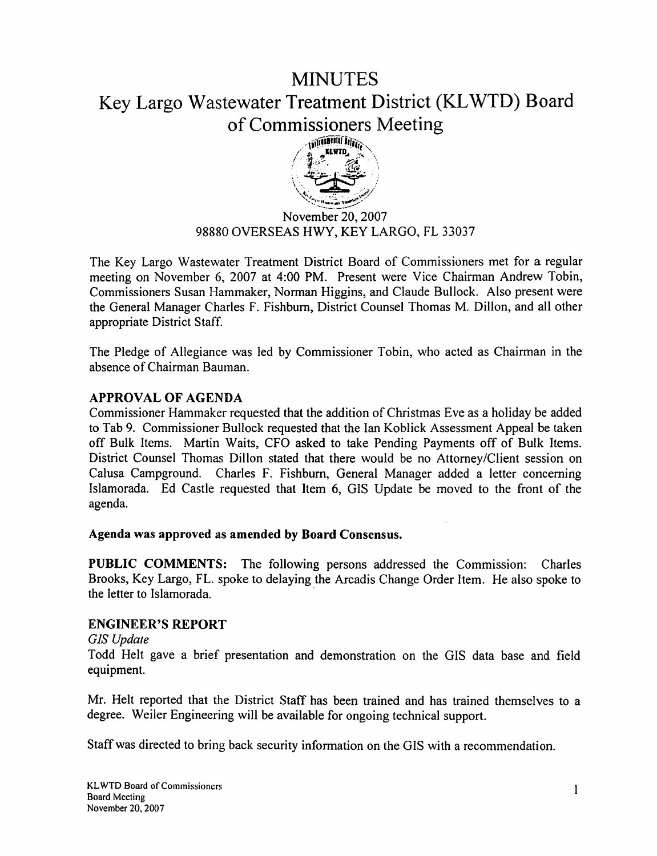# **MINUTES** Key Largo Wastewater Treatment District (KL WTD) Board of Commissioners Meeting



November 20, 2007 98880 OVERSEAS HWY, KEY LARGO, FL 33037

The Key Largo Wastewater Treatment District Board of Commissioners met for a regular meeting on November 6, 2007 at 4:00 PM. Present were Vice Chairman Andrew Tobin, Commissioners Susan Hammaker, Norman Higgins, and Claude Bullock. Also present were the General Manager Charles F. Fishburn, District Counsel Thomas M. Dillon, and all other appropriate District Staff.

The Pledge of Allegiance was led by Commissioner Tobin, who acted as Chairman in the absence of Chairman Bauman.

# APPROVAL OF AGENDA

Commissioner Hammaker requested that the addition of Christmas Eve as a holiday be added to Tab 9. Commissioner Bullock requested that the Ian Koblick Assessment Appeal be taken off Bulk Items. Martin Waits, CFO asked to take Pending Payments off of Bulk Items. District Counsel Thomas Dillon stated that there would be no Attorney/Client session on Calusa Campground. Charles F. Fishburn, General Manager added a letter concerning Islamorada. Ed Castle requested that Item 6, GIS Update be moved to the front of the agenda.

#### Agenda was approved as amended by Board Consensus.

PUBLIC COMMENTS: The following persons addressed the Commission: Charles Brooks, Key Largo, FL. spoke to delaying the Arcadis Change Order Item. He also spoke to the letter to Islamorada.

# ENGINEER'S REPORT

*GJS Update* 

Todd Helt gave a brief presentation and demonstration on the GIS data base and field equipment.

Mr. Helt reported that the District Staff has been trained and has trained themselves to a degree. Weiler Engineering will be available for ongoing technical support.

Staff was directed to bring back security information on the GIS with a recommendation.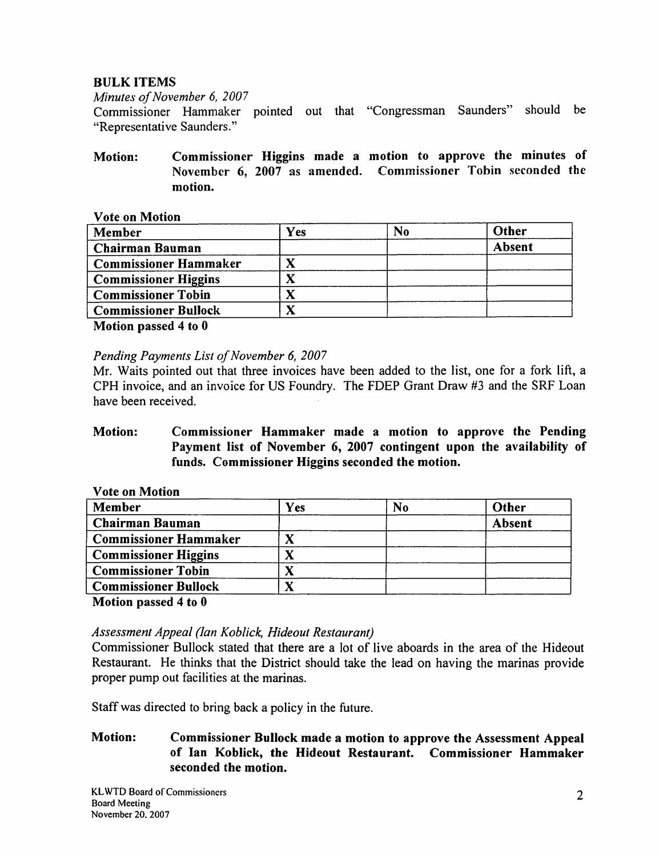# BULK ITEMS

*Minutes of November 6, 2007* 

Commissioner Hammaker pointed out that "Congressman Saunders" should be "Representative Saunders."

Motion: Commissioner Higgins made a motion to approve the minutes of November 6, 2007 as amended. Commissioner Tobin seconded the motion.

#### Vote on Motion

| Member                                                    | Yes | N <sub>0</sub> | Other  |
|-----------------------------------------------------------|-----|----------------|--------|
| <b>Chairman Bauman</b>                                    |     |                | Absent |
| <b>Commissioner Hammaker</b>                              |     |                |        |
| <b>Commissioner Higgins</b>                               |     |                |        |
| <b>Commissioner Tobin</b>                                 |     |                |        |
| <b>Commissioner Bullock</b>                               |     |                |        |
| $\mathbf{r}$ , $\mathbf{r}$ , $\mathbf{r}$ , $\mathbf{r}$ |     |                |        |

Motion passed 4 to 0

*Pending Payments List of November 6, 2007* 

Mr. Waits pointed out that three invoices have been added to the list, one for a fork lift, a CPH invoice, and an invoice for US Foundry. The FDEP Grant Draw #3 and the SRF Loan have been received.

# Motion: Commissioner Hammaker made a motion to approve the Pending Payment list of November 6, 2007 contingent upon the availability of funds. Commissioner Higgins seconded the motion.

| <b>Vote on Motion</b>        |     |                |               |
|------------------------------|-----|----------------|---------------|
| Member                       | Yes | N <sub>0</sub> | Other         |
| <b>Chairman Bauman</b>       |     |                | <b>Absent</b> |
| <b>Commissioner Hammaker</b> |     |                |               |
| <b>Commissioner Higgins</b>  |     |                |               |
| <b>Commissioner Tobin</b>    |     |                |               |
| <b>Commissioner Bullock</b>  |     |                |               |

Motion passed 4 to 0

# *Assessment Appeal (Jan Koblick, Hideout Restaurant)*

Commissioner Bullock stated that there are a lot of live aboards in the area of the Hideout Restaurant. He thinks that the District should take the lead on having the marinas provide proper pump out facilities at the marinas.

Staff was directed to bring back a policy in the future.

# Motion: Commissioner Bullock made a motion to approve the Assessment Appeal of Ian Koblick, the Hideout Restaurant. Commissioner Hammaker seconded the motion.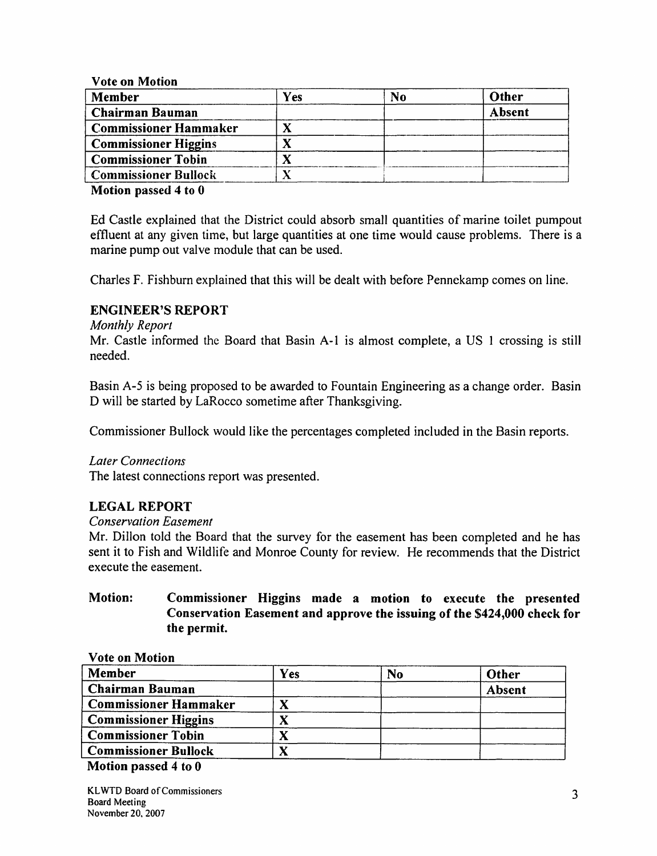Vote on Motion

| Member                       | Yes | No | Other  |
|------------------------------|-----|----|--------|
| <b>Chairman Bauman</b>       |     |    | Absent |
| <b>Commissioner Hammaker</b> |     |    |        |
| <b>Commissioner Higgins</b>  |     |    |        |
| <b>Commissioner Tobin</b>    |     |    |        |
| <b>Commissioner Bullock</b>  |     |    |        |

Motion passed 4 to 0

Ed Castle explained that the District could absorb smaJI quantities of marine toilet pumpout effluent at any given time, but large quantities at one time would cause problems. There is a marine pump out valve module that can be used.

Charles F. Fishburn explained that this will be dealt with before Pennekamp comes on line.

## ENGINEER'S REPORT

#### *Monthly Report*

Mr. Castle informed the Board that Basin A-1 is almost complete, a US I crossing is still needed.

Basin A-5 is being proposed to be awarded to Fountain Engineering as a change order. Basin D will be started by LaRocco sometime after Thanksgiving.

Commissioner Bullock would like the percentages completed included in the Basin reports.

#### *Later Connections*

The latest connections report was presented.

# LEGAL REPORT

#### *Conservation Easement*

Mr. Dillon told the Board that the survey for the easement has been completed and he has sent it to Fish and Wildlife and Monroe County for review. He recommends that the District execute the easement.

# Motion: Commissioner Higgins made a motion to execute the presented Conservation Easement and approve the issuing of the \$424,000 check for the permit.

| No | Other  |
|----|--------|
|    | Absent |
|    |        |
|    |        |
|    |        |
|    |        |
|    |        |

#### Vote on Motion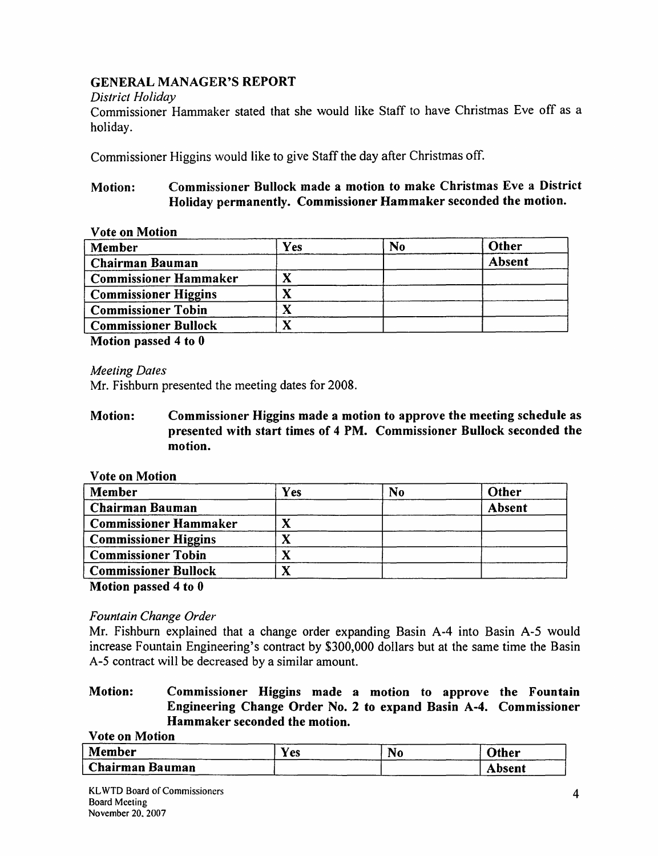# GENERAL MANAGER'S REPORT

#### *District Holiday*

Commissioner Hammaker stated that she would like Staff to have Christmas Eve off as a holiday.

Commissioner Higgins would like to give Staff the day after Christmas off.

# Motion: Commissioner Bullock made a motion to make Christmas Eve a District Holiday permanently. Commissioner Hammaker seconded the motion.

#### Vote on Motion

| <b>Member</b>                | Yes | N <sub>0</sub> | Other  |
|------------------------------|-----|----------------|--------|
| Chairman Bauman              |     |                | Absent |
| <b>Commissioner Hammaker</b> |     |                |        |
| <b>Commissioner Higgins</b>  |     |                |        |
| <b>Commissioner Tobin</b>    |     |                |        |
| <b>Commissioner Bullock</b>  |     |                |        |

Motion passed 4 to 0

*Meeting Dates* 

Mr. Fishburn presented the meeting dates for 2008.

Motion: Commissioner Higgins made a motion to approve the meeting schedule as presented with start times of 4 PM. Commissioner Bullock seconded the motion.

#### Vote on Motion

| Member                       | Yes | N <sub>0</sub> | Other  |
|------------------------------|-----|----------------|--------|
| <b>Chairman Bauman</b>       |     |                | Absent |
| <b>Commissioner Hammaker</b> |     |                |        |
| <b>Commissioner Higgins</b>  |     |                |        |
| <b>Commissioner Tobin</b>    |     |                |        |
| <b>Commissioner Bullock</b>  |     |                |        |

Motion passed 4 to 0

# *Fountain Change Order*

Mr. Fishburn explained that a change order expanding Basin A-4 into Basin A-5 would increase Fountain Engineering's contract by \$300,000 dollars but at the same time the Basin A-5 contract will be decreased by a similar amount.

# Motion: Commissioner Higgins made a motion to approve the Fountain Engineering Change Order No. 2 to expand Basin A-4. Commissioner Hammaker seconded the motion.

Vote on Motion

| Member                 | r es | <b>No</b> | Other  |
|------------------------|------|-----------|--------|
| <b>Chairman Bauman</b> |      |           | Absent |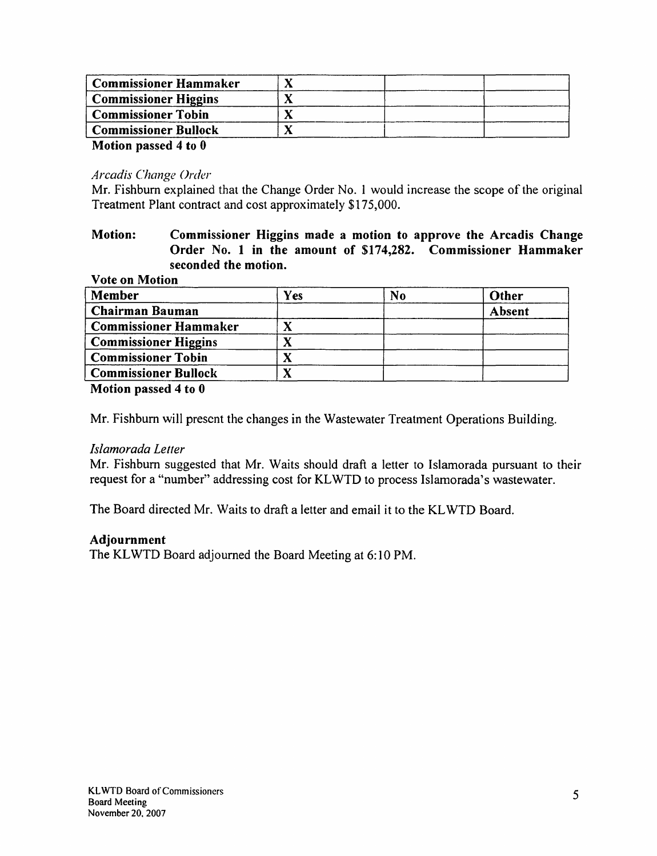| <b>Commissioner Hammaker</b> |  |
|------------------------------|--|
| <b>Commissioner Higgins</b>  |  |
| <b>Commissioner Tobin</b>    |  |
| <b>Commissioner Bullock</b>  |  |
| Motion passed 4 to 0         |  |

## *Arcadis Change Order*

Mr. Fishburn explained that the Change Order No. I would increase the scope of the original Treatment Plant contract and cost approximately \$175,000.

#### Motion: Commissioner Higgins made a motion to approve the Arcadis Change Order No. 1 in the amount of \$174,282. Commissioner Hammaker seconded the motion. Vote on Motion

| Member                       | Yes | N <sub>o</sub> | Other  |
|------------------------------|-----|----------------|--------|
| <b>Chairman Bauman</b>       |     |                | Absent |
| <b>Commissioner Hammaker</b> |     |                |        |
| <b>Commissioner Higgins</b>  |     |                |        |
| <b>Commissioner Tobin</b>    | Λ   |                |        |
| <b>Commissioner Bullock</b>  |     |                |        |

Motion passed 4 to 0

Mr. Fishburn will present the changes in the Wastewater Treatment Operations Building.

#### */slamorada Letter*

Mr. Fishburn suggested that Mr. Waits should draft a letter to Islamorada pursuant to their request for a "number" addressing cost for KLWTD to process lslamorada's wastewater.

The Board directed Mr. Waits to draft a letter and email it to the KLWTD Board.

#### Adjournment

The KLWTD Board adjourned the Board Meeting at 6:10 PM.